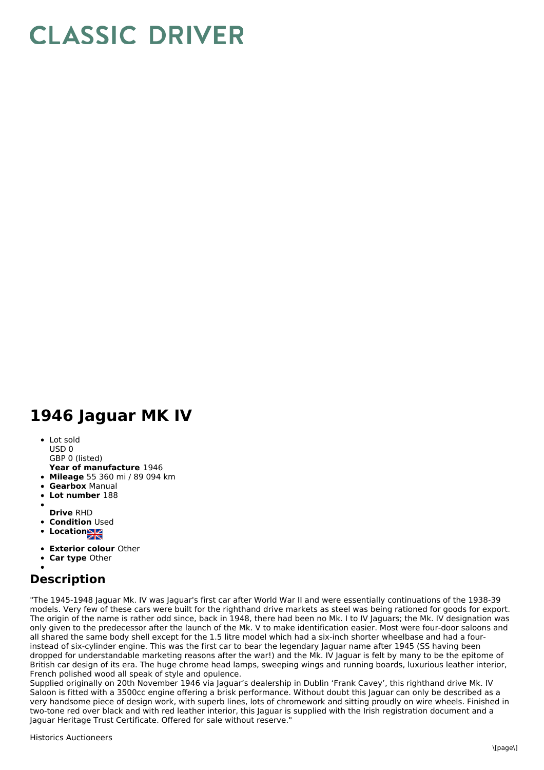## **CLASSIC DRIVER**

## **1946 Jaguar MK IV**

- Lot sold USD 0
- GBP 0 (listed)
- **Year of manufacture** 1946
- **Mileage** 55 360 mi / 89 094 km
- **Gearbox** Manual
- **Lot number** 188
- 
- **Drive** RHD
- **Condition Used**
- **Locations**
- **Exterior colour** Other
- **Car type** Other

## **Description**

"The 1945-1948 Jaguar Mk. IV was Jaguar's first car after World War II and were essentially continuations of the 1938-39 models. Very few of these cars were built for the righthand drive markets as steel was being rationed for goods for export. The origin of the name is rather odd since, back in 1948, there had been no Mk. I to IV Jaguars; the Mk. IV designation was only given to the predecessor after the launch of the Mk. V to make identification easier. Most were four-door saloons and all shared the same body shell except for the 1.5 litre model which had a six-inch shorter wheelbase and had a fourinstead of six-cylinder engine. This was the first car to bear the legendary Jaguar name after 1945 (SS having been dropped for understandable marketing reasons after the war!) and the Mk. IV Jaguar is felt by many to be the epitome of British car design of its era. The huge chrome head lamps, sweeping wings and running boards, luxurious leather interior, French polished wood all speak of style and opulence.

Supplied originally on 20th November 1946 via Jaguar's dealership in Dublin 'Frank Cavey', this righthand drive Mk. IV Saloon is fitted with a 3500cc engine offering a brisk performance. Without doubt this Jaguar can only be described as a very handsome piece of design work, with superb lines, lots of chromework and sitting proudly on wire wheels. Finished in two-tone red over black and with red leather interior, this Jaguar is supplied with the Irish registration document and a Jaguar Heritage Trust Certificate. Offered for sale without reserve."